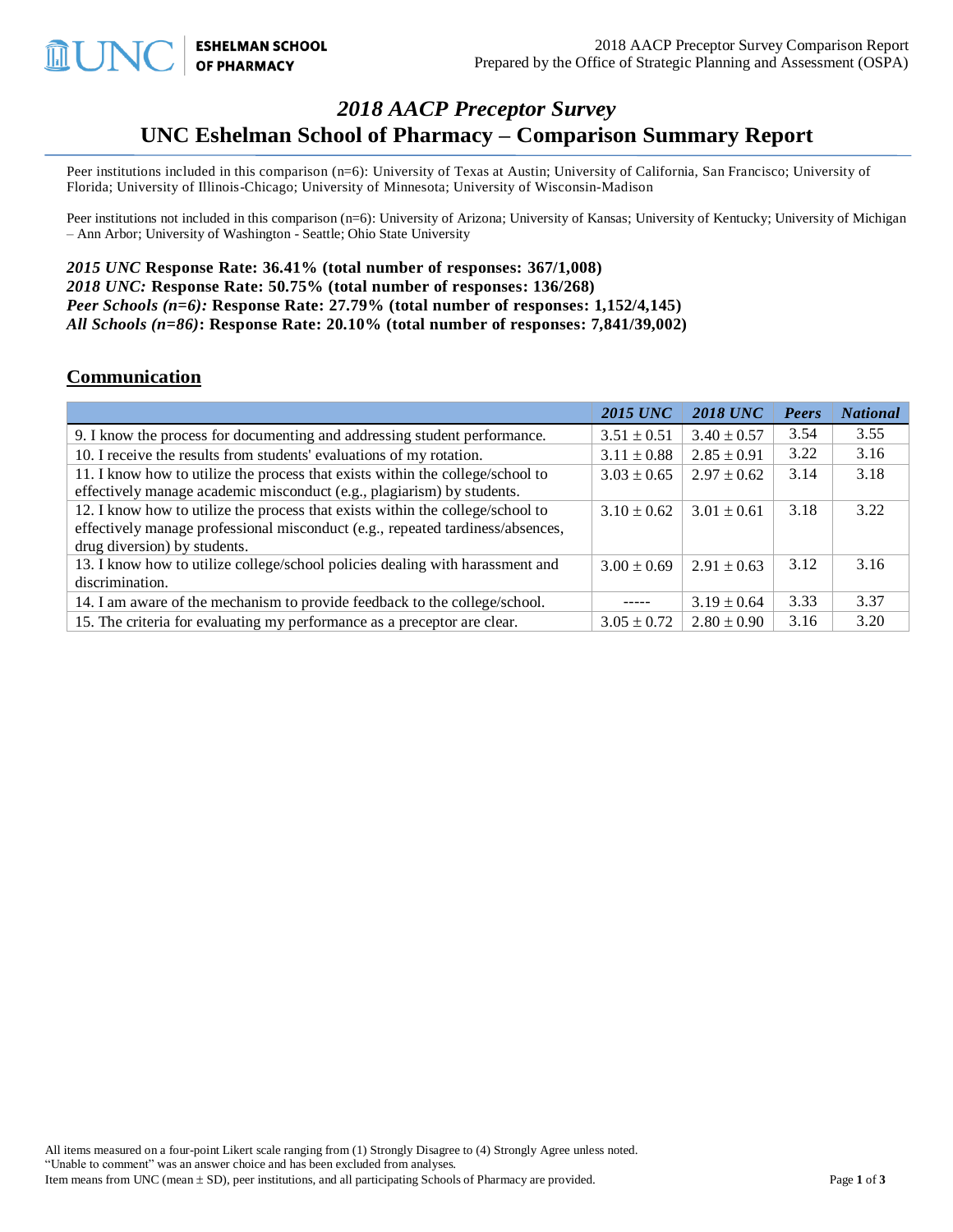# *2018 AACP Preceptor Survey* **UNC Eshelman School of Pharmacy – Comparison Summary Report**

Peer institutions included in this comparison (n=6): University of Texas at Austin; University of California, San Francisco; University of Florida; University of Illinois-Chicago; University of Minnesota; University of Wisconsin-Madison

Peer institutions not included in this comparison (n=6): University of Arizona; University of Kansas; University of Kentucky; University of Michigan – Ann Arbor; University of Washington - Seattle; Ohio State University

*2015 UNC* **Response Rate: 36.41% (total number of responses: 367/1,008)** *2018 UNC:* **Response Rate: 50.75% (total number of responses: 136/268)** *Peer Schools (n=6):* **Response Rate: 27.79% (total number of responses: 1,152/4,145)** *All Schools (n=86)***: Response Rate: 20.10% (total number of responses: 7,841/39,002)**

**ESHELMAN SCHOOL OF PHARMACY** 

#### **Communication**

|                                                                                | <b>2015 UNC</b> | <b>2018 UNC</b> | Peers | <b>National</b> |
|--------------------------------------------------------------------------------|-----------------|-----------------|-------|-----------------|
| 9. I know the process for documenting and addressing student performance.      | $3.51 \pm 0.51$ | $3.40 \pm 0.57$ | 3.54  | 3.55            |
| 10. I receive the results from students' evaluations of my rotation.           | $3.11 \pm 0.88$ | $2.85 \pm 0.91$ | 3.22  | 3.16            |
| 11. I know how to utilize the process that exists within the college/school to | $3.03 \pm 0.65$ | $2.97 \pm 0.62$ | 3.14  | 3.18            |
| effectively manage academic misconduct (e.g., plagiarism) by students.         |                 |                 |       |                 |
| 12. I know how to utilize the process that exists within the college/school to | $3.10 \pm 0.62$ | $3.01 \pm 0.61$ | 3.18  | 3.22            |
| effectively manage professional misconduct (e.g., repeated tardiness/absences, |                 |                 |       |                 |
| drug diversion) by students.                                                   |                 |                 |       |                 |
| 13. I know how to utilize college/school policies dealing with harassment and  | $3.00 \pm 0.69$ | $2.91 \pm 0.63$ | 3.12  | 3.16            |
| discrimination.                                                                |                 |                 |       |                 |
| 14. I am aware of the mechanism to provide feedback to the college/school.     | -----           | $3.19 \pm 0.64$ | 3.33  | 3.37            |
| 15. The criteria for evaluating my performance as a preceptor are clear.       | $3.05 \pm 0.72$ | $2.80 \pm 0.90$ | 3.16  | 3.20            |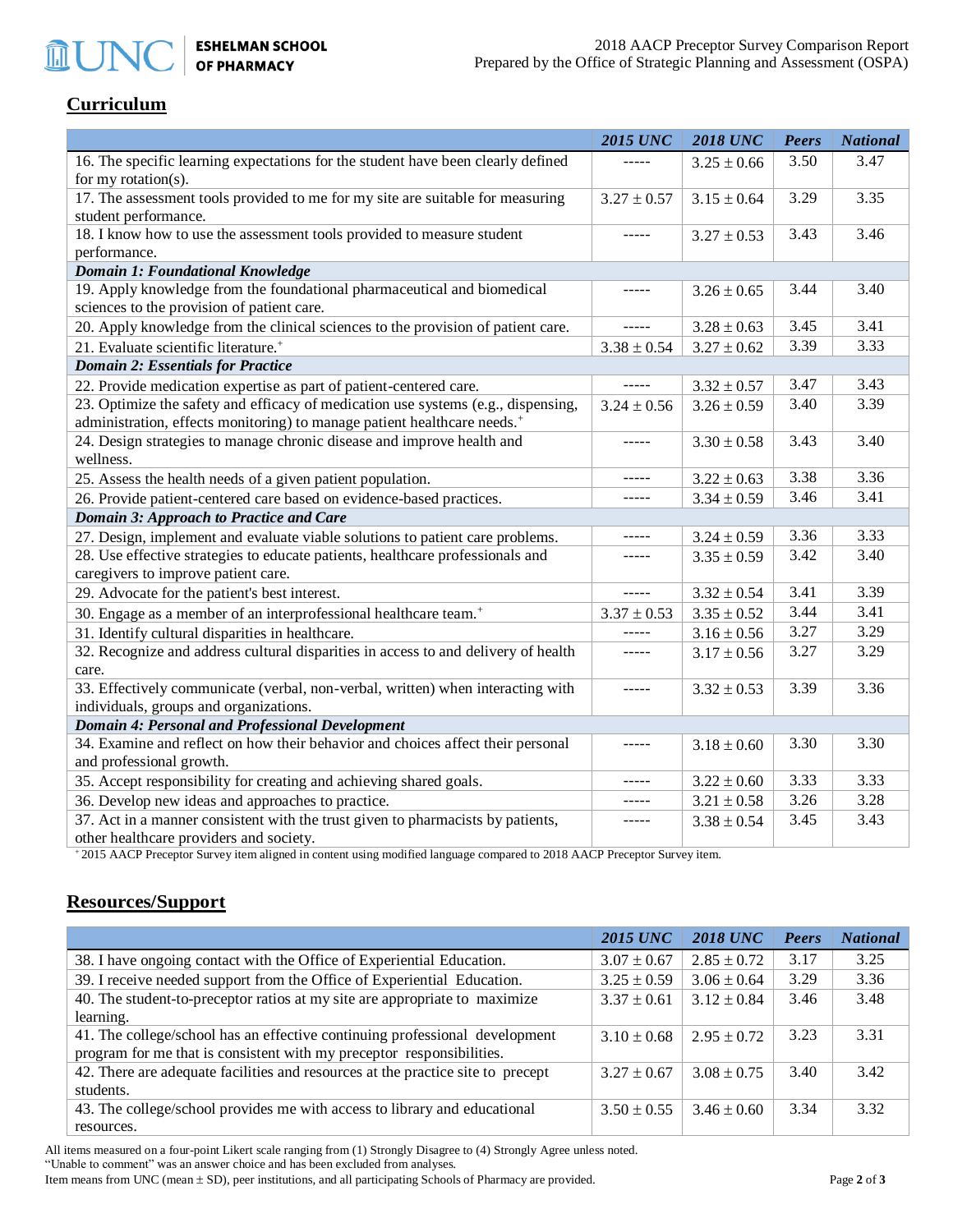ESHELMAN SCHOOL<br>OF PHARMACY

### **Curriculum**

**MUNO** 

|                                                                                                             | <b>2015 UNC</b> | <b>2018 UNC</b> | <b>Peers</b> | <b>National</b> |  |
|-------------------------------------------------------------------------------------------------------------|-----------------|-----------------|--------------|-----------------|--|
| 16. The specific learning expectations for the student have been clearly defined<br>for my rotation( $s$ ). | -----           | $3.25 \pm 0.66$ | 3.50         | 3.47            |  |
| 17. The assessment tools provided to me for my site are suitable for measuring                              | $3.27 \pm 0.57$ | $3.15 \pm 0.64$ | 3.29         | 3.35            |  |
| student performance.                                                                                        |                 |                 |              |                 |  |
| 18. I know how to use the assessment tools provided to measure student                                      |                 | $3.27 \pm 0.53$ | 3.43         | 3.46            |  |
| performance.                                                                                                |                 |                 |              |                 |  |
| <b>Domain 1: Foundational Knowledge</b>                                                                     |                 |                 |              |                 |  |
| 19. Apply knowledge from the foundational pharmaceutical and biomedical                                     |                 | $3.26 \pm 0.65$ | 3.44         | 3.40            |  |
| sciences to the provision of patient care.                                                                  |                 |                 |              |                 |  |
| 20. Apply knowledge from the clinical sciences to the provision of patient care.                            |                 | $3.28 \pm 0.63$ | 3.45         | 3.41            |  |
| 21. Evaluate scientific literature. <sup>+</sup>                                                            | $3.38 \pm 0.54$ | $3.27 \pm 0.62$ | 3.39         | 3.33            |  |
| <b>Domain 2: Essentials for Practice</b>                                                                    |                 |                 |              |                 |  |
| 22. Provide medication expertise as part of patient-centered care.                                          | -----           | $3.32 \pm 0.57$ | 3.47         | 3.43            |  |
| 23. Optimize the safety and efficacy of medication use systems (e.g., dispensing,                           | $3.24 \pm 0.56$ | $3.26 \pm 0.59$ | 3.40         | 3.39            |  |
| administration, effects monitoring) to manage patient healthcare needs. <sup>+</sup>                        |                 |                 |              |                 |  |
| 24. Design strategies to manage chronic disease and improve health and                                      | -----           | $3.30 \pm 0.58$ | 3.43         | 3.40            |  |
| wellness.                                                                                                   |                 |                 |              |                 |  |
| 25. Assess the health needs of a given patient population.                                                  | -----           | $3.22 \pm 0.63$ | 3.38         | 3.36            |  |
| 26. Provide patient-centered care based on evidence-based practices.                                        |                 | $3.34 \pm 0.59$ | 3.46         | 3.41            |  |
| Domain 3: Approach to Practice and Care                                                                     |                 |                 |              |                 |  |
| 27. Design, implement and evaluate viable solutions to patient care problems.                               |                 | $3.24 \pm 0.59$ | 3.36         | 3.33            |  |
| 28. Use effective strategies to educate patients, healthcare professionals and                              |                 | $3.35 \pm 0.59$ | 3.42         | 3.40            |  |
| caregivers to improve patient care.                                                                         |                 |                 |              |                 |  |
| 29. Advocate for the patient's best interest.                                                               |                 | $3.32 \pm 0.54$ | 3.41         | 3.39            |  |
| 30. Engage as a member of an interprofessional healthcare team. <sup>+</sup>                                | $3.37 \pm 0.53$ | $3.35 \pm 0.52$ | 3.44         | 3.41            |  |
| 31. Identify cultural disparities in healthcare.                                                            |                 | $3.16 \pm 0.56$ | 3.27         | 3.29            |  |
| 32. Recognize and address cultural disparities in access to and delivery of health                          | -----           | $3.17 \pm 0.56$ | 3.27         | 3.29            |  |
| care.                                                                                                       |                 |                 |              |                 |  |
| 33. Effectively communicate (verbal, non-verbal, written) when interacting with                             |                 | $3.32 \pm 0.53$ | 3.39         | 3.36            |  |
| individuals, groups and organizations.                                                                      |                 |                 |              |                 |  |
| <b>Domain 4: Personal and Professional Development</b>                                                      |                 |                 |              |                 |  |
| 34. Examine and reflect on how their behavior and choices affect their personal                             | -----           | $3.18 \pm 0.60$ | 3.30         | 3.30            |  |
| and professional growth.                                                                                    |                 |                 |              |                 |  |
| 35. Accept responsibility for creating and achieving shared goals.                                          |                 | $3.22 \pm 0.60$ | 3.33         | 3.33            |  |
| 36. Develop new ideas and approaches to practice.                                                           |                 | $3.21 \pm 0.58$ | 3.26         | 3.28            |  |
| 37. Act in a manner consistent with the trust given to pharmacists by patients,                             | -----           | $3.38 \pm 0.54$ | 3.45         | 3.43            |  |
| other health care may done and coojety                                                                      |                 |                 |              |                 |  |

other healthcare providers and society.

<sup>+</sup>2015 AACP Preceptor Survey item aligned in content using modified language compared to 2018 AACP Preceptor Survey item.

### **Resources/Support**

|                                                                                 | <b>2015 UNC</b> | <b>2018 UNC</b> | Peers | <b>National</b> |
|---------------------------------------------------------------------------------|-----------------|-----------------|-------|-----------------|
| 38. I have ongoing contact with the Office of Experiential Education.           | $3.07 \pm 0.67$ | $2.85 \pm 0.72$ | 3.17  | 3.25            |
| 39. I receive needed support from the Office of Experiential Education.         | $3.25 \pm 0.59$ | $3.06 \pm 0.64$ | 3.29  | 3.36            |
| 40. The student-to-preceptor ratios at my site are appropriate to maximize      | $3.37 \pm 0.61$ | $3.12 \pm 0.84$ | 3.46  | 3.48            |
| learning.                                                                       |                 |                 |       |                 |
| 41. The college/school has an effective continuing professional development     | $3.10 \pm 0.68$ | $2.95 \pm 0.72$ | 3.23  | 3.31            |
| program for me that is consistent with my preceptor responsibilities.           |                 |                 |       |                 |
| 42. There are adequate facilities and resources at the practice site to precept | $3.27 \pm 0.67$ | $3.08 \pm 0.75$ | 3.40  | 3.42            |
| students.                                                                       |                 |                 |       |                 |
| 43. The college/school provides me with access to library and educational       | $3.50 \pm 0.55$ | $3.46 \pm 0.60$ | 3.34  | 3.32            |
| resources.                                                                      |                 |                 |       |                 |

All items measured on a four-point Likert scale ranging from (1) Strongly Disagree to (4) Strongly Agree unless noted. "Unable to comment" was an answer choice and has been excluded from analyses. Item means from UNC (mean  $\pm$  SD), peer institutions, and all participating Schools of Pharmacy are provided. Page 2 of 3